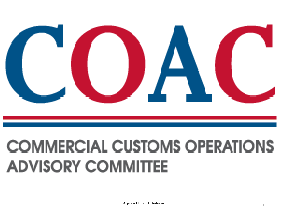

# **COMMERCIAL CUSTOMS OPERATIONS ADVISORY COMMITTEE**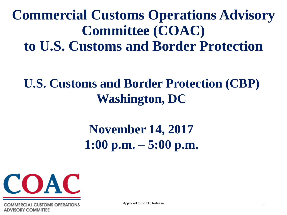**Commercial Customs Operations Advisory Committee (COAC) to U.S. Customs and Border Protection** 

#### **U.S. Customs and Border Protection (CBP) Washington, DC**

#### **November 14, 2017 1:00 p.m. – 5:00 p.m.**



**UMERCIAL CUSTOMS OPERATIONS ADVISORY COMMITTEE** 

Approved for Public Release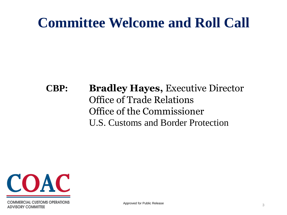### **Committee Welcome and Roll Call**

#### **CBP: Bradley Hayes,** Executive Director Office of Trade Relations Office of the Commissioner U.S. Customs and Border Protection



**COMMERCIAL CUSTOMS OPERATIONS ADVISORY COMMITTEE**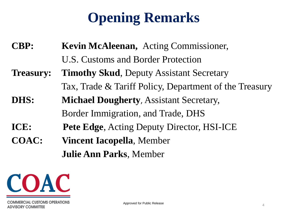## **Opening Remarks**

**CBP: Kevin McAleenan,** Acting Commissioner, U.S. Customs and Border Protection

- **Treasury: Timothy Skud**, Deputy Assistant Secretary Tax, Trade & Tariff Policy, Department of the Treasury
- **DHS: Michael Dougherty**, Assistant Secretary, Border Immigration, and Trade, DHS
- **ICE: Pete Edge**, Acting Deputy Director, HSI-ICE
- **COAC: Vincent Iacopella**, Member **Julie Ann Parks**, Member

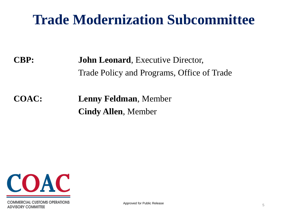#### **Trade Modernization Subcommittee**

**CBP: John Leonard**, Executive Director, Trade Policy and Programs, Office of Trade

**COAC: Lenny Feldman**, Member **Cindy Allen**, Member

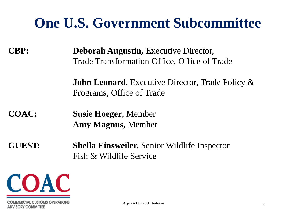### **One U.S. Government Subcommittee**

**CBP: Deborah Augustin,** Executive Director, Trade Transformation Office, Office of Trade

> **John Leonard**, Executive Director, Trade Policy & Programs, Office of Trade

**COAC: Susie Hoeger**, Member **Amy Magnus,** Member

**GUEST: Sheila Einsweiler,** Senior Wildlife Inspector Fish & Wildlife Service

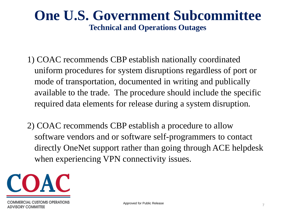#### **One U.S. Government Subcommittee Technical and Operations Outages**

- 1) COAC recommends CBP establish nationally coordinated uniform procedures for system disruptions regardless of port or mode of transportation, documented in writing and publically available to the trade. The procedure should include the specific required data elements for release during a system disruption.
- 2) COAC recommends CBP establish a procedure to allow software vendors and or software self-programmers to contact directly OneNet support rather than going through ACE helpdesk when experiencing VPN connectivity issues.

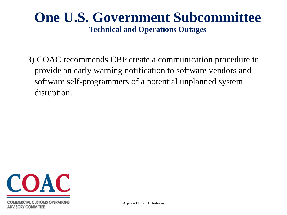#### **One U.S. Government Subcommittee Technical and Operations Outages**

3) COAC recommends CBP create a communication procedure to provide an early warning notification to software vendors and software self-programmers of a potential unplanned system disruption.

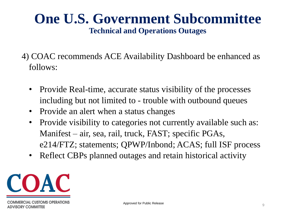#### **One U.S. Government Subcommittee Technical and Operations Outages**

- 4) COAC recommends ACE Availability Dashboard be enhanced as follows:
	- Provide Real-time, accurate status visibility of the processes including but not limited to - trouble with outbound queues
	- Provide an alert when a status changes
	- Provide visibility to categories not currently available such as: Manifest – air, sea, rail, truck, FAST; specific PGAs, e214/FTZ; statements; QPWP/Inbond; ACAS; full ISF process
	- Reflect CBPs planned outages and retain historical activity

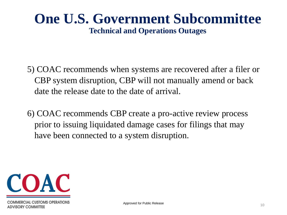#### **One U.S. Government Subcommittee Technical and Operations Outages**

- 5) COAC recommends when systems are recovered after a filer or CBP system disruption, CBP will not manually amend or back date the release date to the date of arrival.
- 6) COAC recommends CBP create a pro-active review process prior to issuing liquidated damage cases for filings that may have been connected to a system disruption.

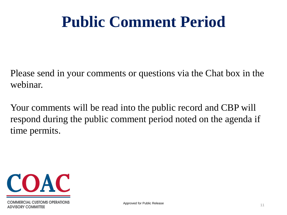# **Public Comment Period**

Please send in your comments or questions via the Chat box in the webinar.

Your comments will be read into the public record and CBP will respond during the public comment period noted on the agenda if time permits.

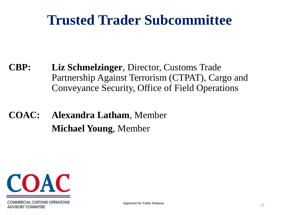### **Trusted Trader Subcommittee**

- **CBP: Liz Schmelzinger**, Director, Customs Trade Partnership Against Terrorism (CTPAT), Cargo and Conveyance Security, Office of Field Operations
- **COAC: Alexandra Latham**, Member **Michael Young**, Member

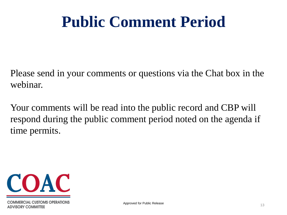# **Public Comment Period**

Please send in your comments or questions via the Chat box in the webinar.

Your comments will be read into the public record and CBP will respond during the public comment period noted on the agenda if time permits.

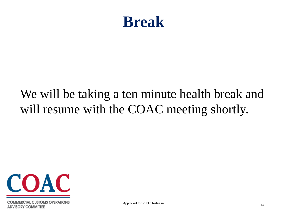#### **Break**

#### We will be taking a ten minute health break and will resume with the COAC meeting shortly.



**COMMERCIAL CUSTOMS OPERATIONS ADVISORY COMMITTEE**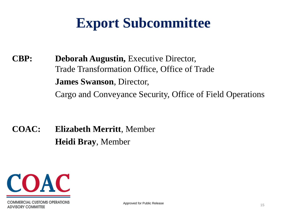**CBP: Deborah Augustin,** Executive Director, Trade Transformation Office, Office of Trade **James Swanson**, Director, Cargo and Conveyance Security, Office of Field Operations

**COAC: Elizabeth Merritt**, Member **Heidi Bray**, Member

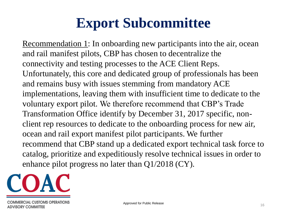Recommendation 1: In onboarding new participants into the air, ocean and rail manifest pilots, CBP has chosen to decentralize the connectivity and testing processes to the ACE Client Reps. Unfortunately, this core and dedicated group of professionals has been and remains busy with issues stemming from mandatory ACE implementations, leaving them with insufficient time to dedicate to the voluntary export pilot. We therefore recommend that CBP's Trade Transformation Office identify by December 31, 2017 specific, nonclient rep resources to dedicate to the onboarding process for new air, ocean and rail export manifest pilot participants. We further recommend that CBP stand up a dedicated export technical task force to catalog, prioritize and expeditiously resolve technical issues in order to enhance pilot progress no later than Q1/2018 (CY).

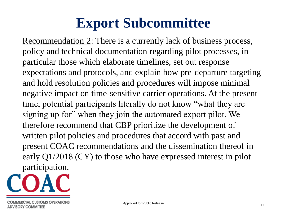Recommendation 2: There is a currently lack of business process, policy and technical documentation regarding pilot processes, in particular those which elaborate timelines, set out response expectations and protocols, and explain how pre-departure targeting and hold resolution policies and procedures will impose minimal negative impact on time-sensitive carrier operations. At the present time, potential participants literally do not know "what they are signing up for" when they join the automated export pilot. We therefore recommend that CBP prioritize the development of written pilot policies and procedures that accord with past and present COAC recommendations and the dissemination thereof in early Q1/2018 (CY) to those who have expressed interest in pilot participation.

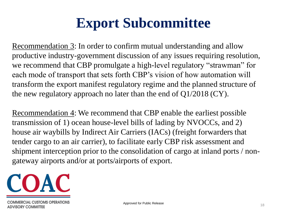Recommendation 3: In order to confirm mutual understanding and allow productive industry-government discussion of any issues requiring resolution, we recommend that CBP promulgate a high-level regulatory "strawman" for each mode of transport that sets forth CBP's vision of how automation will transform the export manifest regulatory regime and the planned structure of the new regulatory approach no later than the end of Q1/2018 (CY).

Recommendation 4: We recommend that CBP enable the earliest possible transmission of 1) ocean house-level bills of lading by NVOCCs, and 2) house air waybills by Indirect Air Carriers (IACs) (freight forwarders that tender cargo to an air carrier), to facilitate early CBP risk assessment and shipment interception prior to the consolidation of cargo at inland ports / nongateway airports and/or at ports/airports of export.

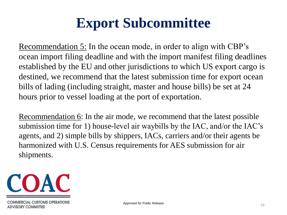Recommendation 5: In the ocean mode, in order to align with CBP's ocean import filing deadline and with the import manifest filing deadlines established by the EU and other jurisdictions to which US export cargo is destined, we recommend that the latest submission time for export ocean bills of lading (including straight, master and house bills) be set at 24 hours prior to vessel loading at the port of exportation.

Recommendation 6: In the air mode, we recommend that the latest possible submission time for 1) house-level air waybills by the IAC, and/or the IAC's agents, and 2) simple bills by shippers, IACs, carriers and/or their agents be harmonized with U.S. Census requirements for AES submission for air shipments.

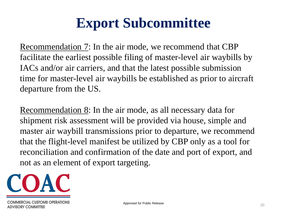Recommendation 7: In the air mode, we recommend that CBP facilitate the earliest possible filing of master-level air waybills by IACs and/or air carriers, and that the latest possible submission time for master-level air waybills be established as prior to aircraft departure from the US.

Recommendation 8: In the air mode, as all necessary data for shipment risk assessment will be provided via house, simple and master air waybill transmissions prior to departure, we recommend that the flight-level manifest be utilized by CBP only as a tool for reconciliation and confirmation of the date and port of export, and not as an element of export targeting.

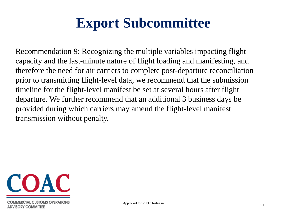Recommendation 9: Recognizing the multiple variables impacting flight capacity and the last-minute nature of flight loading and manifesting, and therefore the need for air carriers to complete post-departure reconciliation prior to transmitting flight-level data, we recommend that the submission timeline for the flight-level manifest be set at several hours after flight departure. We further recommend that an additional 3 business days be provided during which carriers may amend the flight-level manifest transmission without penalty.

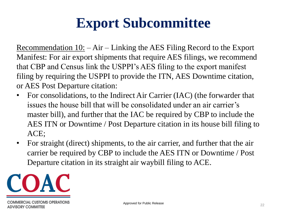<u>Recommendation  $10:$ </u>  $-Air$  – Linking the AES Filing Record to the Export Manifest: For air export shipments that require AES filings, we recommend that CBP and Census link the USPPI's AES filing to the export manifest filing by requiring the USPPI to provide the ITN, AES Downtime citation, or AES Post Departure citation:

- For consolidations, to the Indirect Air Carrier (IAC) (the forwarder that issues the house bill that will be consolidated under an air carrier's master bill), and further that the IAC be required by CBP to include the AES ITN or Downtime / Post Departure citation in its house bill filing to ACE;
- For straight (direct) shipments, to the air carrier, and further that the air carrier be required by CBP to include the AES ITN or Downtime / Post Departure citation in its straight air waybill filing to ACE.

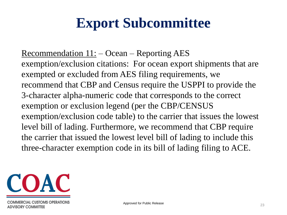Recommendation  $11:$  – Ocean – Reporting AES exemption/exclusion citations: For ocean export shipments that are exempted or excluded from AES filing requirements, we recommend that CBP and Census require the USPPI to provide the 3-character alpha-numeric code that corresponds to the correct exemption or exclusion legend (per the CBP/CENSUS exemption/exclusion code table) to the carrier that issues the lowest level bill of lading. Furthermore, we recommend that CBP require the carrier that issued the lowest level bill of lading to include this three-character exemption code in its bill of lading filing to ACE.

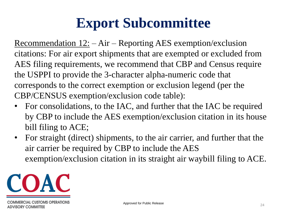Recommendation 12: – Air – Reporting AES exemption/exclusion citations: For air export shipments that are exempted or excluded from AES filing requirements, we recommend that CBP and Census require the USPPI to provide the 3-character alpha-numeric code that corresponds to the correct exemption or exclusion legend (per the CBP/CENSUS exemption/exclusion code table):

- For consolidations, to the IAC, and further that the IAC be required by CBP to include the AES exemption/exclusion citation in its house bill filing to ACE;
- For straight (direct) shipments, to the air carrier, and further that the air carrier be required by CBP to include the AES exemption/exclusion citation in its straight air waybill filing to ACE.

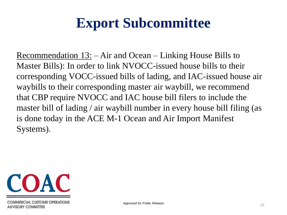Recommendation 13: – Air and Ocean – Linking House Bills to Master Bills): In order to link NVOCC-issued house bills to their corresponding VOCC-issued bills of lading, and IAC-issued house air waybills to their corresponding master air waybill, we recommend that CBP require NVOCC and IAC house bill filers to include the master bill of lading / air waybill number in every house bill filing (as is done today in the ACE M-1 Ocean and Air Import Manifest Systems).

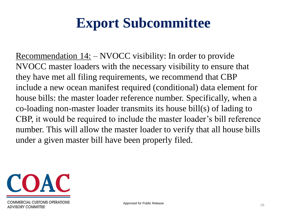Recommendation 14: – NVOCC visibility: In order to provide NVOCC master loaders with the necessary visibility to ensure that they have met all filing requirements, we recommend that CBP include a new ocean manifest required (conditional) data element for house bills: the master loader reference number. Specifically, when a co-loading non-master loader transmits its house bill(s) of lading to CBP, it would be required to include the master loader's bill reference number. This will allow the master loader to verify that all house bills under a given master bill have been properly filed.

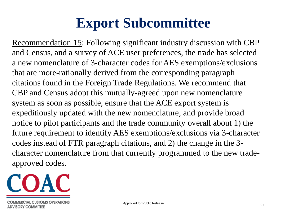Recommendation 15: Following significant industry discussion with CBP and Census, and a survey of ACE user preferences, the trade has selected a new nomenclature of 3-character codes for AES exemptions/exclusions that are more-rationally derived from the corresponding paragraph citations found in the Foreign Trade Regulations. We recommend that CBP and Census adopt this mutually-agreed upon new nomenclature system as soon as possible, ensure that the ACE export system is expeditiously updated with the new nomenclature, and provide broad notice to pilot participants and the trade community overall about 1) the future requirement to identify AES exemptions/exclusions via 3-character codes instead of FTR paragraph citations, and 2) the change in the 3 character nomenclature from that currently programmed to the new tradeapproved codes.

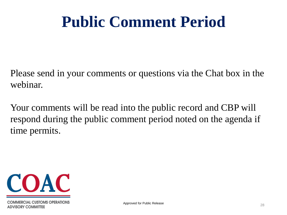# **Public Comment Period**

Please send in your comments or questions via the Chat box in the webinar.

Your comments will be read into the public record and CBP will respond during the public comment period noted on the agenda if time permits.

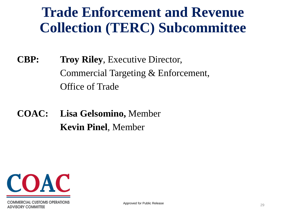### **Trade Enforcement and Revenue Collection (TERC) Subcommittee**

**CBP: Troy Riley**, Executive Director, Commercial Targeting & Enforcement, Office of Trade

**COAC: Lisa Gelsomino,** Member **Kevin Pinel**, Member

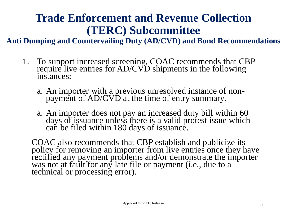#### **Trade Enforcement and Revenue Collection (TERC) Subcommittee**

**Anti Dumping and Countervailing Duty (AD/CVD) and Bond Recommendations**

- 1. To support increased screening, COAC recommends that CBP require live entries for AD/CVD shipments in the following instances:
	- a. An importer with a previous unresolved instance of nonpayment of AD/CVD at the time of entry summary.
	- a. An importer does not pay an increased duty bill within 60 days of issuance unless there is a valid protest issue which can be filed within 180 days of issuance.

COAC also recommends that CBP establish and publicize its policy for removing an importer from live entries once they have rectified any payment problems and/or demonstrate the importer was not at fault for any late file or payment (i.e., due to a technical or processing error).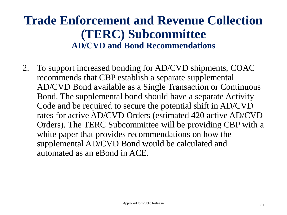#### **Trade Enforcement and Revenue Collection (TERC) Subcommittee AD/CVD and Bond Recommendations**

2. To support increased bonding for AD/CVD shipments, COAC recommends that CBP establish a separate supplemental AD/CVD Bond available as a Single Transaction or Continuous Bond. The supplemental bond should have a separate Activity Code and be required to secure the potential shift in AD/CVD rates for active AD/CVD Orders (estimated 420 active AD/CVD Orders). The TERC Subcommittee will be providing CBP with a white paper that provides recommendations on how the supplemental AD/CVD Bond would be calculated and automated as an eBond in ACE.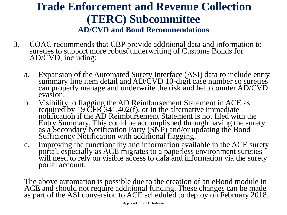#### **Trade Enforcement and Revenue Collection (TERC) Subcommittee AD/CVD and Bond Recommendations**

- 3. COAC recommends that CBP provide additional data and information to sureties to support more robust underwriting of Customs Bonds for  $AD/CVD$ , including:
	- a. Expansion of the Automated Surety Interface (ASI) data to include entry summary line item detail and AD/CVD 10-digit case number so sureties can properly manage and underwrite the risk and help counter AD/CVD evasion.
	- b. Visibility to flagging the AD Reimbursement Statement in ACE as required by 19  $CFR^341.402(f)$ , or in the alternative immediate notification if the AD Reimbursement Statement is not filed with the Entry Summary. This could be accomplished through having the surety as a Secondary Notification Party (SNP) and/or updating the Bond Sufficiency Notification with additional flagging.
	- c. Improving the functionality and information available in the ACE surety portal, especially as ACE migrates to a paperless environment sureties will need to rely on visible access to data and information via the surety portal account.

The above automation is possible due to the creation of an eBond module in ACE and should not require additional funding. These changes can be made as part of the ASI conversion to ACE scheduled to deploy on February 2018.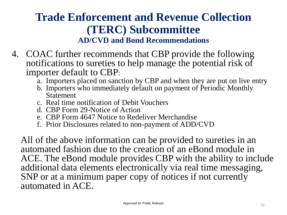#### **Trade Enforcement and Revenue Collection (TERC) Subcommittee AD/CVD and Bond Recommendations**

- 4. COAC further recommends that CBP provide the following notifications to sureties to help manage the potential risk of importer default to CBP:
	- a. Importers placed on sanction by CBP and when they are put on live entry
	- b. Importers who immediately default on payment of Periodic Monthly Statement
	- c. Real time notification of Debit Vouchers
	- d. CBP Form 29-Notice of Action
	- e. CBP Form 4647 Notice to Redeliver Merchandise
	- f. Prior Disclosures related to non-payment of ADD/CVD

All of the above information can be provided to sureties in an automated fashion due to the creation of an eBond module in ACE. The eBond module provides CBP with the ability to include additional data elements electronically via real time messaging, SNP or at a minimum paper copy of notices if not currently automated in ACE.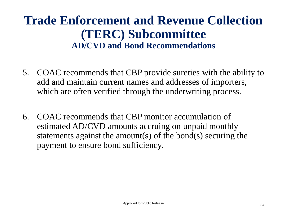#### **Trade Enforcement and Revenue Collection (TERC) Subcommittee AD/CVD and Bond Recommendations**

- 5. COAC recommends that CBP provide sureties with the ability to add and maintain current names and addresses of importers, which are often verified through the underwriting process.
- 6. COAC recommends that CBP monitor accumulation of estimated AD/CVD amounts accruing on unpaid monthly statements against the amount(s) of the bond(s) securing the payment to ensure bond sufficiency.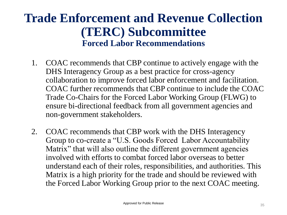#### **Trade Enforcement and Revenue Collection (TERC) Subcommittee Forced Labor Recommendations**

- 1. COAC recommends that CBP continue to actively engage with the DHS Interagency Group as a best practice for cross-agency collaboration to improve forced labor enforcement and facilitation. COAC further recommends that CBP continue to include the COAC Trade Co-Chairs for the Forced Labor Working Group (FLWG) to ensure bi-directional feedback from all government agencies and non-government stakeholders.
- 2. COAC recommends that CBP work with the DHS Interagency Group to co-create a "U.S. Goods Forced Labor Accountability Matrix" that will also outline the different government agencies involved with efforts to combat forced labor overseas to better understand each of their roles, responsibilities, and authorities. This Matrix is a high priority for the trade and should be reviewed with the Forced Labor Working Group prior to the next COAC meeting.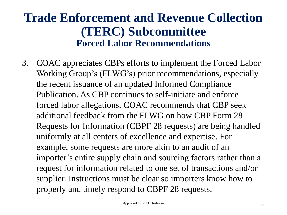#### **Trade Enforcement and Revenue Collection (TERC) Subcommittee Forced Labor Recommendations**

3. COAC appreciates CBPs efforts to implement the Forced Labor Working Group's (FLWG's) prior recommendations, especially the recent issuance of an updated Informed Compliance Publication. As CBP continues to self-initiate and enforce forced labor allegations, COAC recommends that CBP seek additional feedback from the FLWG on how CBP Form 28 Requests for Information (CBPF 28 requests) are being handled uniformly at all centers of excellence and expertise. For example, some requests are more akin to an audit of an importer's entire supply chain and sourcing factors rather than a request for information related to one set of transactions and/or supplier. Instructions must be clear so importers know how to properly and timely respond to CBPF 28 requests.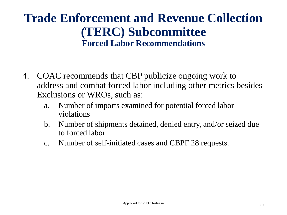#### **Trade Enforcement and Revenue Collection (TERC) Subcommittee Forced Labor Recommendations**

- 4. COAC recommends that CBP publicize ongoing work to address and combat forced labor including other metrics besides Exclusions or WROs, such as:
	- a. Number of imports examined for potential forced labor violations
	- b. Number of shipments detained, denied entry, and/or seized due to forced labor
	- c. Number of self-initiated cases and CBPF 28 requests.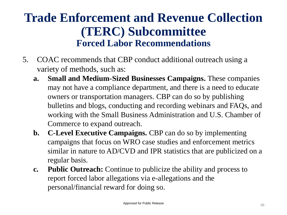#### **Trade Enforcement and Revenue Collection (TERC) Subcommittee Forced Labor Recommendations**

- 5. COAC recommends that CBP conduct additional outreach using a variety of methods, such as:
	- **a. Small and Medium-Sized Businesses Campaigns.** These companies may not have a compliance department, and there is a need to educate owners or transportation managers. CBP can do so by publishing bulletins and blogs, conducting and recording webinars and FAQs, and working with the Small Business Administration and U.S. Chamber of Commerce to expand outreach.
	- **b. C-Level Executive Campaigns.** CBP can do so by implementing campaigns that focus on WRO case studies and enforcement metrics similar in nature to AD/CVD and IPR statistics that are publicized on a regular basis.
	- **c. Public Outreach:** Continue to publicize the ability and process to report forced labor allegations via e-allegations and the personal/financial reward for doing so.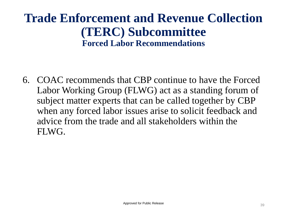#### **Trade Enforcement and Revenue Collection (TERC) Subcommittee Forced Labor Recommendations**

6. COAC recommends that CBP continue to have the Forced Labor Working Group (FLWG) act as a standing forum of subject matter experts that can be called together by CBP when any forced labor issues arise to solicit feedback and advice from the trade and all stakeholders within the FLWG.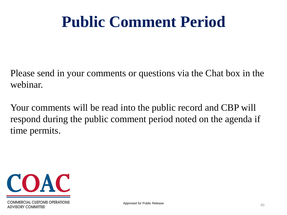# **Public Comment Period**

Please send in your comments or questions via the Chat box in the webinar.

Your comments will be read into the public record and CBP will respond during the public comment period noted on the agenda if time permits.

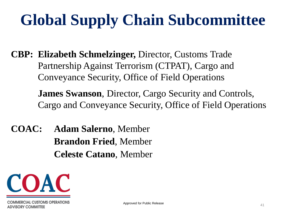# **Global Supply Chain Subcommittee**

**CBP: Elizabeth Schmelzinger,** Director, Customs Trade Partnership Against Terrorism (CTPAT), Cargo and Conveyance Security, Office of Field Operations

> **James Swanson**, Director, Cargo Security and Controls, Cargo and Conveyance Security, Office of Field Operations

**COAC: Adam Salerno**, Member **Brandon Fried**, Member **Celeste Catano**, Member

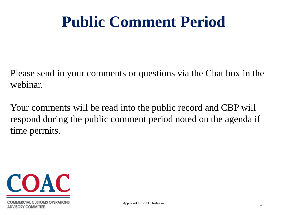# **Public Comment Period**

Please send in your comments or questions via the Chat box in the webinar.

Your comments will be read into the public record and CBP will respond during the public comment period noted on the agenda if time permits.

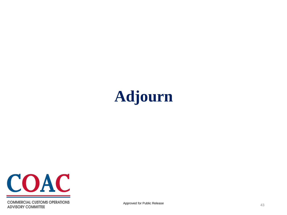



**COMMERCIAL CUSTOMS OPERATIONS ADVISORY COMMITTEE**